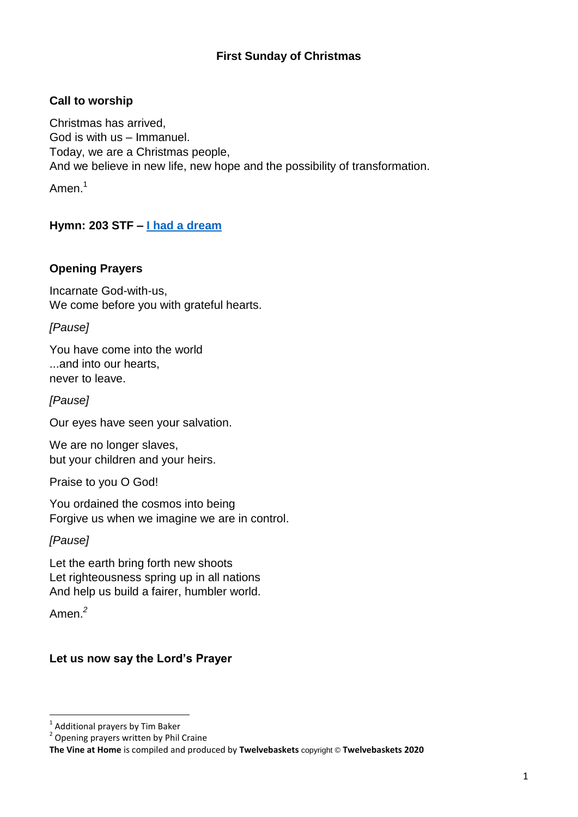# **First Sunday of Christmas**

## **Call to worship**

Christmas has arrived, God is with us – Immanuel. Today, we are a Christmas people, And we believe in new life, new hope and the possibility of transformation. Amen.<sup>1</sup>

# **Hymn: 203 STF – [I had a dream](https://www.youtube.com/watch?v=aZ2xtYJ0H2Y)**

### **Opening Prayers**

Incarnate God-with-us, We come before you with grateful hearts.

*[Pause]*

You have come into the world ...and into our hearts, never to leave.

*[Pause]*

Our eyes have seen your salvation.

We are no longer slaves, but your children and your heirs.

Praise to you O God!

You ordained the cosmos into being Forgive us when we imagine we are in control.

*[Pause]*

Let the earth bring forth new shoots Let righteousness spring up in all nations And help us build a fairer, humbler world.

Amen. *2*

### **Let us now say the Lord's Prayer**

 1 Additional prayers by Tim Baker

<sup>&</sup>lt;sup>2</sup> Opening prayers written by Phil Craine

**The Vine at Home** is compiled and produced by **Twelvebaskets** copyright © **Twelvebaskets 2020**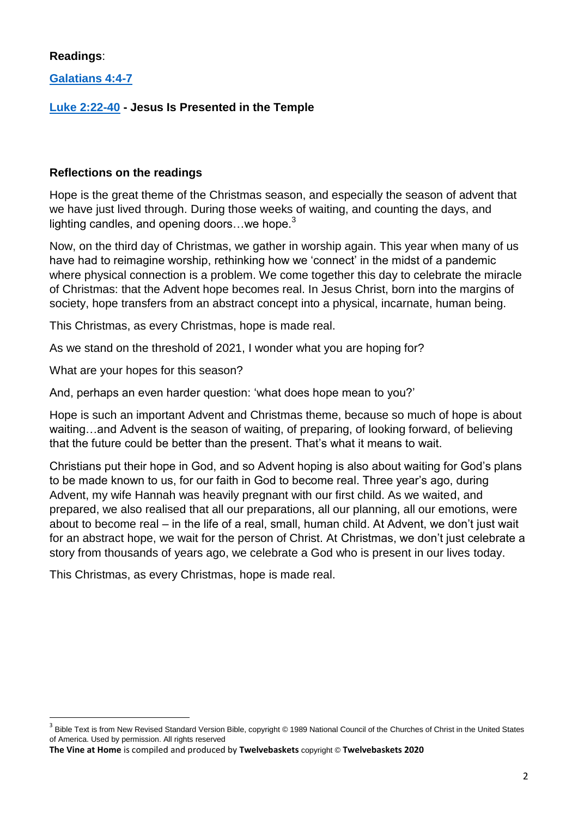## **Readings**:

**.** 

**[Galatians 4:4-7](https://www.biblegateway.com/passage/?search=Galatians+4%3A4-7+&version=NIV4)**

# **[Luke 2:22-40](https://www.biblegateway.com/passage/?search=Luke+2%3A22-40+&version=NIV) - Jesus Is Presented in the Temple**

#### **Reflections on the readings**

Hope is the great theme of the Christmas season, and especially the season of advent that we have just lived through. During those weeks of waiting, and counting the days, and lighting candles, and opening doors...we hope. $3$ 

Now, on the third day of Christmas, we gather in worship again. This year when many of us have had to reimagine worship, rethinking how we 'connect' in the midst of a pandemic where physical connection is a problem. We come together this day to celebrate the miracle of Christmas: that the Advent hope becomes real. In Jesus Christ, born into the margins of society, hope transfers from an abstract concept into a physical, incarnate, human being.

This Christmas, as every Christmas, hope is made real.

As we stand on the threshold of 2021, I wonder what you are hoping for?

What are your hopes for this season?

And, perhaps an even harder question: "what does hope mean to you?"

Hope is such an important Advent and Christmas theme, because so much of hope is about waiting…and Advent is the season of waiting, of preparing, of looking forward, of believing that the future could be better than the present. That"s what it means to wait.

Christians put their hope in God, and so Advent hoping is also about waiting for God"s plans to be made known to us, for our faith in God to become real. Three year"s ago, during Advent, my wife Hannah was heavily pregnant with our first child. As we waited, and prepared, we also realised that all our preparations, all our planning, all our emotions, were about to become real – in the life of a real, small, human child. At Advent, we don"t just wait for an abstract hope, we wait for the person of Christ. At Christmas, we don't just celebrate a story from thousands of years ago, we celebrate a God who is present in our lives today.

This Christmas, as every Christmas, hope is made real.

<sup>3</sup> Bible Text is from New Revised Standard Version Bible, copyright © 1989 National Council of the Churches of Christ in the United States of America. Used by permission. All rights reserved

**The Vine at Home** is compiled and produced by **Twelvebaskets** copyright © **Twelvebaskets 2020**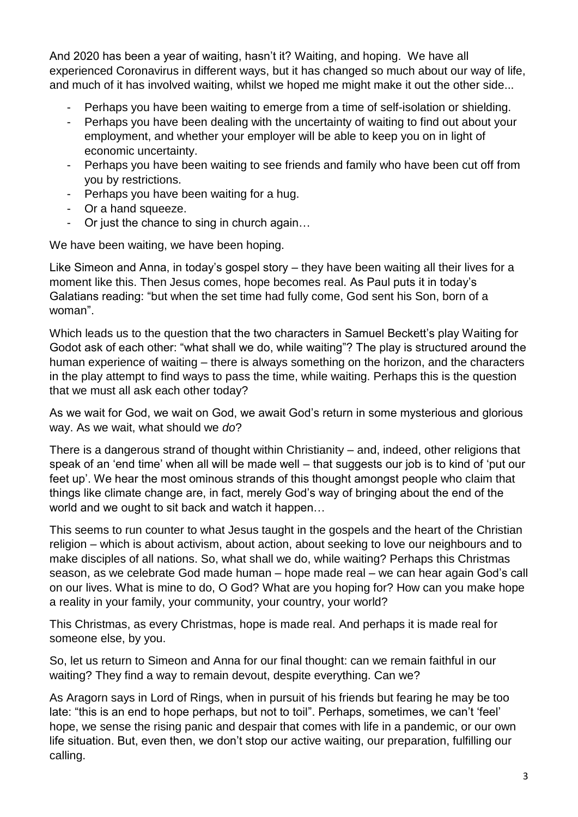And 2020 has been a year of waiting, hasn"t it? Waiting, and hoping. We have all experienced Coronavirus in different ways, but it has changed so much about our way of life, and much of it has involved waiting, whilst we hoped me might make it out the other side...

- Perhaps you have been waiting to emerge from a time of self-isolation or shielding.
- Perhaps you have been dealing with the uncertainty of waiting to find out about your employment, and whether your employer will be able to keep you on in light of economic uncertainty.
- Perhaps you have been waiting to see friends and family who have been cut off from you by restrictions.
- Perhaps you have been waiting for a hug.
- Or a hand squeeze.
- Or just the chance to sing in church again…

We have been waiting, we have been hoping.

Like Simeon and Anna, in today's gospel story – they have been waiting all their lives for a moment like this. Then Jesus comes, hope becomes real. As Paul puts it in today"s Galatians reading: "but when the set time had fully come, God sent his Son, born of a woman".

Which leads us to the question that the two characters in Samuel Beckett's play Waiting for Godot ask of each other: "what shall we do, while waiting"? The play is structured around the human experience of waiting – there is always something on the horizon, and the characters in the play attempt to find ways to pass the time, while waiting. Perhaps this is the question that we must all ask each other today?

As we wait for God, we wait on God, we await God"s return in some mysterious and glorious way. As we wait, what should we *do*?

There is a dangerous strand of thought within Christianity – and, indeed, other religions that speak of an 'end time' when all will be made well – that suggests our job is to kind of 'put our feet up'. We hear the most ominous strands of this thought amongst people who claim that things like climate change are, in fact, merely God"s way of bringing about the end of the world and we ought to sit back and watch it happen…

This seems to run counter to what Jesus taught in the gospels and the heart of the Christian religion – which is about activism, about action, about seeking to love our neighbours and to make disciples of all nations. So, what shall we do, while waiting? Perhaps this Christmas season, as we celebrate God made human – hope made real – we can hear again God"s call on our lives. What is mine to do, O God? What are you hoping for? How can you make hope a reality in your family, your community, your country, your world?

This Christmas, as every Christmas, hope is made real. And perhaps it is made real for someone else, by you.

So, let us return to Simeon and Anna for our final thought: can we remain faithful in our waiting? They find a way to remain devout, despite everything. Can we?

As Aragorn says in Lord of Rings, when in pursuit of his friends but fearing he may be too late: "this is an end to hope perhaps, but not to toil". Perhaps, sometimes, we can't 'feel' hope, we sense the rising panic and despair that comes with life in a pandemic, or our own life situation. But, even then, we don"t stop our active waiting, our preparation, fulfilling our calling.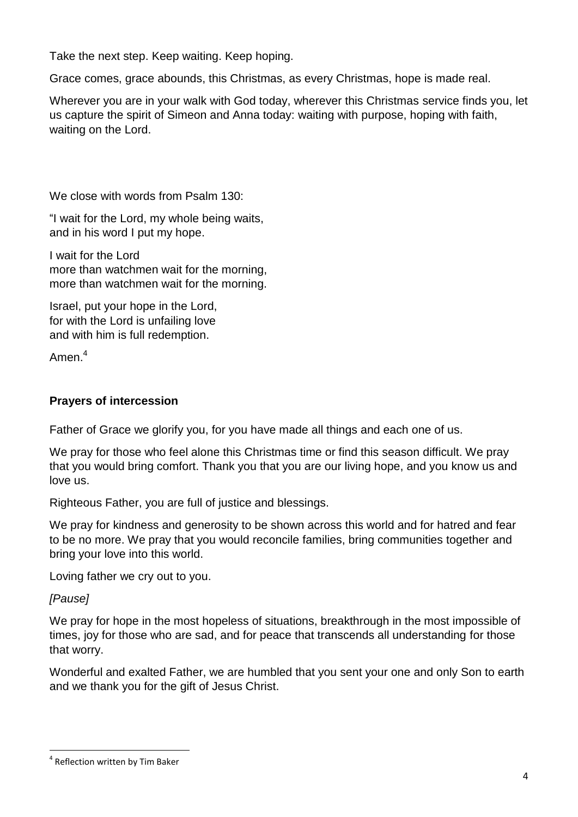Take the next step. Keep waiting. Keep hoping.

Grace comes, grace abounds, this Christmas, as every Christmas, hope is made real.

Wherever you are in your walk with God today, wherever this Christmas service finds you, let us capture the spirit of Simeon and Anna today: waiting with purpose, hoping with faith, waiting on the Lord.

We close with words from Psalm 130:

"I wait for the Lord, my whole being waits, and in his word I put my hope.

I wait for the Lord more than watchmen wait for the morning, more than watchmen wait for the morning.

Israel, put your hope in the Lord, for with the Lord is unfailing love and with him is full redemption.

Amen<sup>4</sup>

#### **Prayers of intercession**

Father of Grace we glorify you, for you have made all things and each one of us.

We pray for those who feel alone this Christmas time or find this season difficult. We pray that you would bring comfort. Thank you that you are our living hope, and you know us and love us.

Righteous Father, you are full of justice and blessings.

We pray for kindness and generosity to be shown across this world and for hatred and fear to be no more. We pray that you would reconcile families, bring communities together and bring your love into this world.

Loving father we cry out to you.

*[Pause]*

**.** 

We pray for hope in the most hopeless of situations, breakthrough in the most impossible of times, joy for those who are sad, and for peace that transcends all understanding for those that worry.

Wonderful and exalted Father, we are humbled that you sent your one and only Son to earth and we thank you for the gift of Jesus Christ.

<sup>&</sup>lt;sup>4</sup> Reflection written by Tim Baker